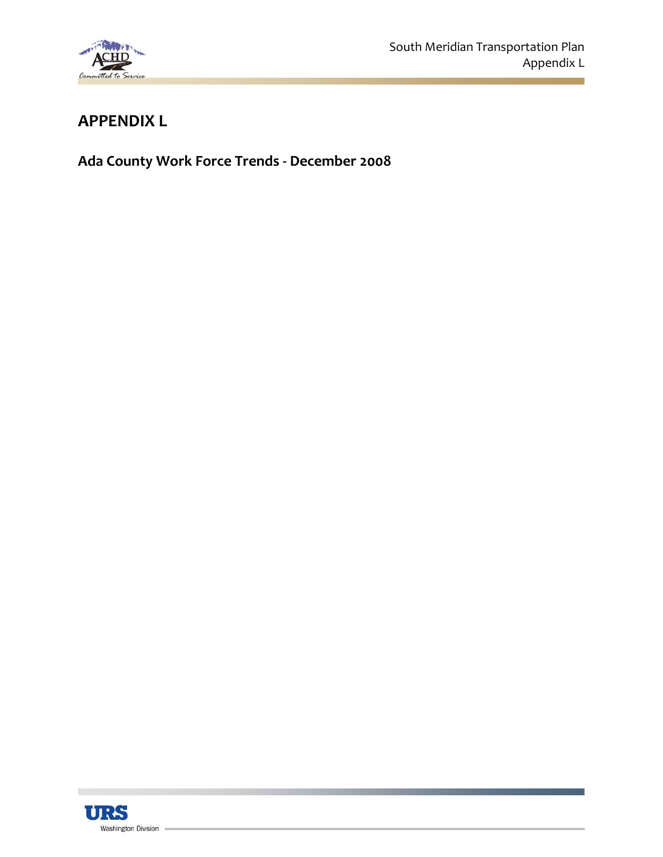

## **APPENDIX L**

**Ada County Work Force Trends ‐ December 2008**

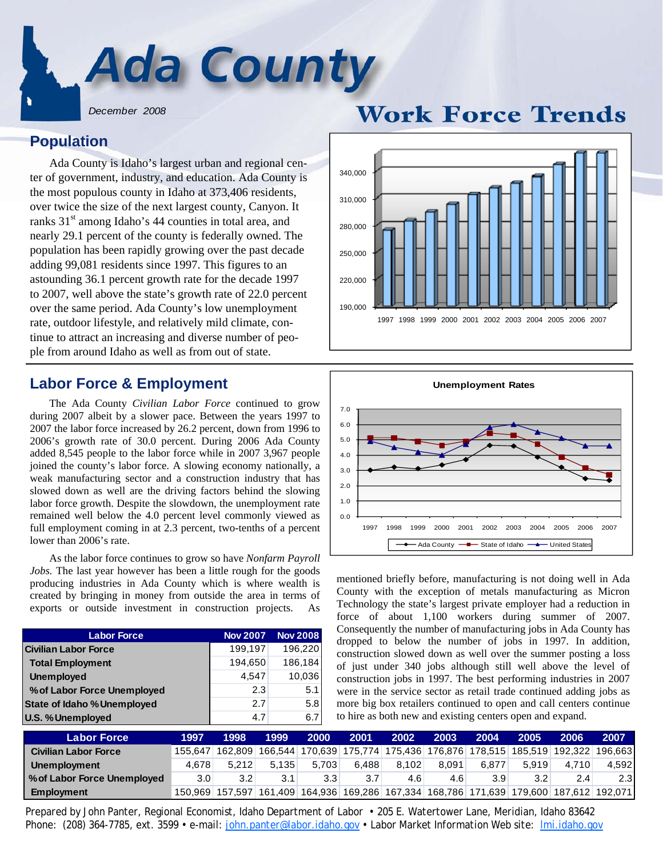

*December 2008*

### **Population**

Ada County is Idaho's largest urban and regional center of government, industry, and education. Ada County is the most populous county in Idaho at 373,406 residents, over twice the size of the next largest county, Canyon. It ranks 31<sup>st</sup> among Idaho's 44 counties in total area, and nearly 29.1 percent of the county is federally owned. The population has been rapidly growing over the past decade adding 99,081 residents since 1997. This figures to an astounding 36.1 percent growth rate for the decade 1997 to 2007, well above the state's growth rate of 22.0 percent over the same period. Ada County's low unemployment rate, outdoor lifestyle, and relatively mild climate, continue to attract an increasing and diverse number of people from around Idaho as well as from out of state.

### **Labor Force & Employment**

The Ada County *Civilian Labor Force* continued to grow during 2007 albeit by a slower pace. Between the years 1997 to 2007 the labor force increased by 26.2 percent, down from 1996 to 2006's growth rate of 30.0 percent. During 2006 Ada County added 8,545 people to the labor force while in 2007 3,967 people joined the county's labor force. A slowing economy nationally, a weak manufacturing sector and a construction industry that has slowed down as well are the driving factors behind the slowing labor force growth. Despite the slowdown, the unemployment rate remained well below the 4.0 percent level commonly viewed as full employment coming in at 2.3 percent, two-tenths of a percent lower than 2006's rate.

 As the labor force continues to grow so have *Nonfarm Payroll Jobs.* The last year however has been a little rough for the goods producing industries in Ada County which is where wealth is created by bringing in money from outside the area in terms of exports or outside investment in construction projects.

| <b>Labor Force</b>                 | <b>Nov 2007</b> | <b>Nov 2008</b> |
|------------------------------------|-----------------|-----------------|
| <b>Civilian Labor Force</b>        | 199,197         | 196,220         |
| <b>Total Employment</b>            | 194,650         | 186,184         |
| <b>Unemployed</b>                  | 4.547           | 10,036          |
| % of Labor Force Unemployed        | 2.3             | 5.1             |
| <b>State of Idaho % Unemployed</b> | 2.7             | 5.8             |
| U.S. % Unemployed                  | 4.7             | 6.7             |



### $0.0$ 1.0 2.0 3.0 4.0 5.0 6.0 7.0 1997 1998 1999 2000 2001 2002 2003 2004 2005 2006 2007 **Unemployment Rates** → Ada County –■ State of Idaho –▲ United States

mentioned briefly before, manufacturing is not doing well in Ada County with the exception of metals manufacturing as Micron Technology the state's largest private employer had a reduction in force of about 1,100 workers during summer of 2007. Consequently the number of manufacturing jobs in Ada County has dropped to below the number of jobs in 1997. In addition, construction slowed down as well over the summer posting a loss of just under 340 jobs although still well above the level of construction jobs in 1997. The best performing industries in 2007 were in the service sector as retail trade continued adding jobs as more big box retailers continued to open and call centers continue to hire as both new and existing centers open and expand.

| <b>Labor Force</b>          | 1997             | 1998             | 1999  | 2000             | 2001  | 2002                                                                                              | 2003  | 2004  | 2005             | 2006  | 2007  |
|-----------------------------|------------------|------------------|-------|------------------|-------|---------------------------------------------------------------------------------------------------|-------|-------|------------------|-------|-------|
| <b>Civilian Labor Force</b> | 155.647          |                  |       |                  |       | 162,809   166,544   170,639   175,774   175,436   176,876   178,515   185,519   192,322   196,663 |       |       |                  |       |       |
| Unemployment                | 4.678            | 5.212            | 5.135 | 5.703            | 6.488 | 8.102                                                                                             | 8.091 | 6.877 | 5.919            | 4.710 | 4,592 |
| % of Labor Force Unemployed | 3.0 <sub>1</sub> | 3.2 <sub>1</sub> | 3.1   | 3.3 <sup>°</sup> | 3.7   | 4.6                                                                                               | 4.6   | 3.9   | 3.2 <sub>1</sub> | 2.4   | 2.3   |
| <b>Employment</b>           | 150.969          |                  |       |                  |       | 157,597 161,409 164,936 169,286 167,334 168,786 171,639 179,600 187,612 192,071                   |       |       |                  |       |       |

*Prepared by John Panter, Regional Economist, Idaho Department of Labor • 205 E. Watertower Lane, Meridian, Idaho 83642 Phone: (208) 364-7785, ext. 3599 • e-mail: john.panter@labor.idaho.gov • Labor Market Information Web site: lmi.idaho.gov*

# **Work Force Trends**